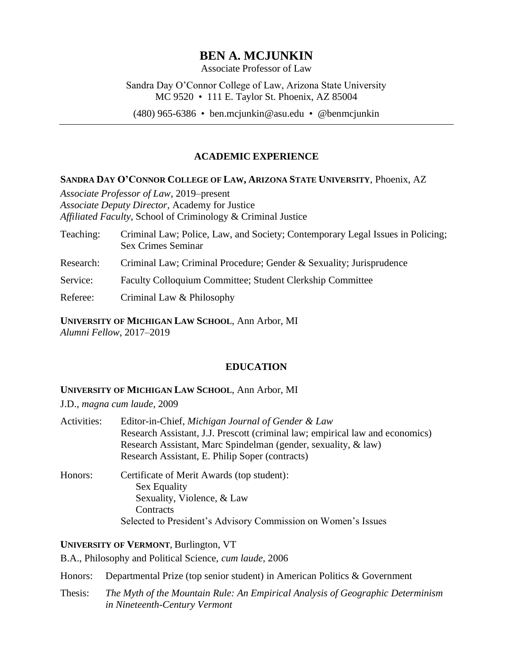# **BEN A. MCJUNKIN**

Associate Professor of Law

Sandra Day O'Connor College of Law, Arizona State University MC 9520 • 111 E. Taylor St. Phoenix, AZ 85004

(480) 965-6386 • ben.mcjunkin@asu.edu • @benmcjunkin

# **ACADEMIC EXPERIENCE**

## **SANDRA DAY O'CONNOR COLLEGE OF LAW, ARIZONA STATE UNIVERSITY**, Phoenix, AZ

*Associate Professor of Law*, 2019–present *Associate Deputy Director,* Academy for Justice *Affiliated Faculty*, School of Criminology & Criminal Justice

- Teaching: Criminal Law; Police, Law, and Society; Contemporary Legal Issues in Policing; Sex Crimes Seminar
- Research: Criminal Law; Criminal Procedure; Gender & Sexuality; Jurisprudence
- Service: Faculty Colloquium Committee; Student Clerkship Committee
- Referee: Criminal Law & Philosophy

**UNIVERSITY OF MICHIGAN LAW SCHOOL**, Ann Arbor, MI *Alumni Fellow*, 2017–2019

# **EDUCATION**

## **UNIVERSITY OF MICHIGAN LAW SCHOOL**, Ann Arbor, MI

J.D., *magna cum laude*, 2009

| Activities: | Editor-in-Chief, Michigan Journal of Gender & Law<br>Research Assistant, J.J. Prescott (criminal law; empirical law and economics)<br>Research Assistant, Marc Spindelman (gender, sexuality, & law) |
|-------------|------------------------------------------------------------------------------------------------------------------------------------------------------------------------------------------------------|
|             | Research Assistant, E. Philip Soper (contracts)                                                                                                                                                      |
| Honors:     | Certificate of Merit Awards (top student):<br>Sex Equality<br>Sexuality, Violence, & Law<br>Contracts                                                                                                |

Selected to President's Advisory Commission on Women's Issues

**UNIVERSITY OF VERMONT**, Burlington, VT

B.A., Philosophy and Political Science, *cum laude*, 2006

Honors: Departmental Prize (top senior student) in American Politics & Government

Thesis: *The Myth of the Mountain Rule: An Empirical Analysis of Geographic Determinism in Nineteenth-Century Vermont*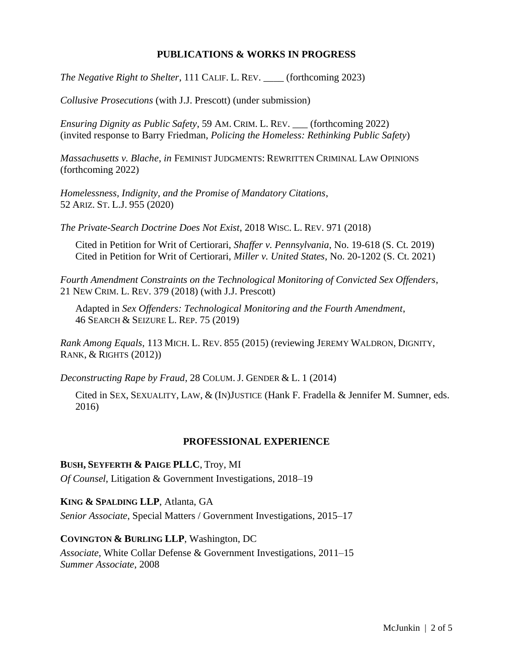## **PUBLICATIONS & WORKS IN PROGRESS**

*The Negative Right to Shelter*, 111 CALIF. L. REV. \_\_\_\_ (forthcoming 2023)

*Collusive Prosecutions* (with J.J. Prescott) (under submission)

*Ensuring Dignity as Public Safety*, 59 AM. CRIM. L. REV. \_\_\_ (forthcoming 2022) (invited response to Barry Friedman, *Policing the Homeless: Rethinking Public Safety*)

*Massachusetts v. Blache*, *in* FEMINIST JUDGMENTS: REWRITTEN CRIMINAL LAW OPINIONS (forthcoming 2022)

*Homelessness, Indignity, and the Promise of Mandatory Citations*, 52 ARIZ. ST. L.J. 955 (2020)

*The Private-Search Doctrine Does Not Exist*, 2018 WISC. L. REV. 971 (2018)

Cited in Petition for Writ of Certiorari, *Shaffer v. Pennsylvania*, No. 19-618 (S. Ct. 2019) Cited in Petition for Writ of Certiorari, *Miller v. United States*, No. 20-1202 (S. Ct. 2021)

*Fourth Amendment Constraints on the Technological Monitoring of Convicted Sex Offenders*, 21 NEW CRIM. L. REV. 379 (2018) (with J.J. Prescott)

Adapted in *Sex Offenders: Technological Monitoring and the Fourth Amendment*, 46 SEARCH & SEIZURE L. REP. 75 (2019)

*Rank Among Equals*, 113 MICH. L. REV. 855 (2015) (reviewing JEREMY WALDRON, DIGNITY, RANK, & RIGHTS (2012))

*Deconstructing Rape by Fraud*, 28 COLUM. J. GENDER & L. 1 (2014)

Cited in SEX, SEXUALITY, LAW, & (IN)JUSTICE (Hank F. Fradella & Jennifer M. Sumner, eds. 2016)

## **PROFESSIONAL EXPERIENCE**

#### **BUSH, SEYFERTH & PAIGE PLLC**, Troy, MI

*Of Counsel*, Litigation & Government Investigations, 2018–19

**KING & SPALDING LLP**, Atlanta, GA

*Senior Associate*, Special Matters / Government Investigations, 2015–17

## **COVINGTON & BURLING LLP**, Washington, DC

*Associate*, White Collar Defense & Government Investigations, 2011–15 *Summer Associate*, 2008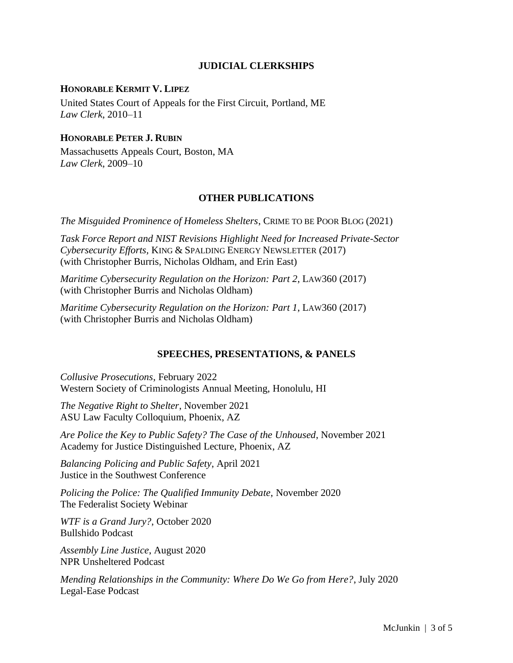## **JUDICIAL CLERKSHIPS**

#### **HONORABLE KERMIT V. LIPEZ**

United States Court of Appeals for the First Circuit, Portland, ME *Law Clerk*, 2010–11

## **HONORABLE PETER J. RUBIN**

Massachusetts Appeals Court, Boston, MA *Law Clerk*, 2009–10

#### **OTHER PUBLICATIONS**

*The Misguided Prominence of Homeless Shelters*, CRIME TO BE POOR BLOG (2021)

*Task Force Report and NIST Revisions Highlight Need for Increased Private-Sector Cybersecurity Efforts,* KING & SPALDING ENERGY NEWSLETTER (2017) (with Christopher Burris, Nicholas Oldham, and Erin East)

*Maritime Cybersecurity Regulation on the Horizon: Part 2*, LAW360 (2017) (with Christopher Burris and Nicholas Oldham)

*Maritime Cybersecurity Regulation on the Horizon: Part 1*, LAW360 (2017) (with Christopher Burris and Nicholas Oldham)

#### **SPEECHES, PRESENTATIONS, & PANELS**

*Collusive Prosecutions*, February 2022 Western Society of Criminologists Annual Meeting, Honolulu, HI

*The Negative Right to Shelter*, November 2021 ASU Law Faculty Colloquium, Phoenix, AZ

*Are Police the Key to Public Safety? The Case of the Unhoused*, November 2021 Academy for Justice Distinguished Lecture, Phoenix, AZ

*Balancing Policing and Public Safety*, April 2021 Justice in the Southwest Conference

*Policing the Police: The Qualified Immunity Debate*, November 2020 The Federalist Society Webinar

*WTF is a Grand Jury?*, October 2020 Bullshido Podcast

*Assembly Line Justice*, August 2020 NPR Unsheltered Podcast

*Mending Relationships in the Community: Where Do We Go from Here?*, July 2020 Legal-Ease Podcast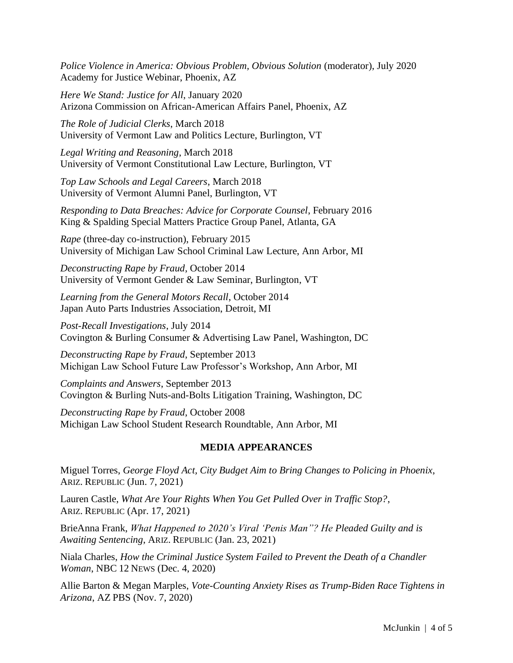*Police Violence in America: Obvious Problem, Obvious Solution* (moderator), July 2020 Academy for Justice Webinar, Phoenix, AZ

*Here We Stand: Justice for All*, January 2020 Arizona Commission on African-American Affairs Panel, Phoenix, AZ

*The Role of Judicial Clerks*, March 2018 University of Vermont Law and Politics Lecture, Burlington, VT

*Legal Writing and Reasoning*, March 2018 University of Vermont Constitutional Law Lecture, Burlington, VT

*Top Law Schools and Legal Careers*, March 2018 University of Vermont Alumni Panel, Burlington, VT

*Responding to Data Breaches: Advice for Corporate Counsel*, February 2016 King & Spalding Special Matters Practice Group Panel, Atlanta, GA

*Rape* (three-day co-instruction), February 2015 University of Michigan Law School Criminal Law Lecture, Ann Arbor, MI

*Deconstructing Rape by Fraud*, October 2014 University of Vermont Gender & Law Seminar, Burlington, VT

*Learning from the General Motors Recall*, October 2014 Japan Auto Parts Industries Association, Detroit, MI

*Post-Recall Investigations*, July 2014 Covington & Burling Consumer & Advertising Law Panel, Washington, DC

*Deconstructing Rape by Fraud*, September 2013 Michigan Law School Future Law Professor's Workshop, Ann Arbor, MI

*Complaints and Answers*, September 2013 Covington & Burling Nuts-and-Bolts Litigation Training, Washington, DC

*Deconstructing Rape by Fraud*, October 2008 Michigan Law School Student Research Roundtable, Ann Arbor, MI

# **MEDIA APPEARANCES**

Miguel Torres, *George Floyd Act, City Budget Aim to Bring Changes to Policing in Phoenix*, ARIZ. REPUBLIC (Jun. 7, 2021)

Lauren Castle, *What Are Your Rights When You Get Pulled Over in Traffic Stop?*, ARIZ. REPUBLIC (Apr. 17, 2021)

BrieAnna Frank, *What Happened to 2020's Viral 'Penis Man"? He Pleaded Guilty and is Awaiting Sentencing*, ARIZ. REPUBLIC (Jan. 23, 2021)

Niala Charles, *How the Criminal Justice System Failed to Prevent the Death of a Chandler Woman*, NBC 12 NEWS (Dec. 4, 2020)

Allie Barton & Megan Marples, *Vote-Counting Anxiety Rises as Trump-Biden Race Tightens in Arizona*, AZ PBS (Nov. 7, 2020)